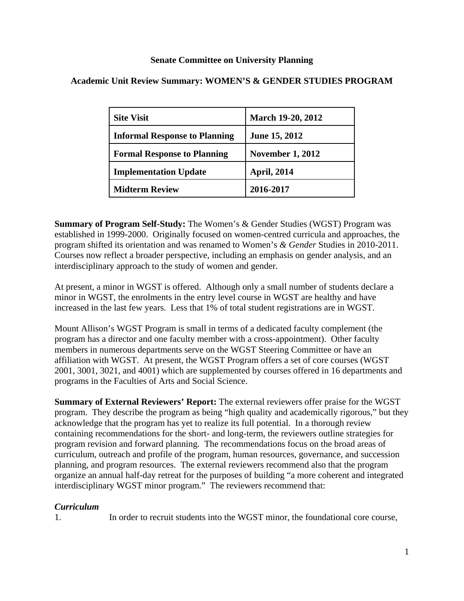# **Senate Committee on University Planning**

| <b>Site Visit</b>                    | <b>March 19-20, 2012</b> |
|--------------------------------------|--------------------------|
| <b>Informal Response to Planning</b> | June 15, 2012            |
| <b>Formal Response to Planning</b>   | <b>November 1, 2012</b>  |
| <b>Implementation Update</b>         | <b>April, 2014</b>       |
| <b>Midterm Review</b>                | 2016-2017                |

# **Academic Unit Review Summary: WOMEN'S & GENDER STUDIES PROGRAM**

**Summary of Program Self-Study:** The Women's & Gender Studies (WGST) Program was established in 1999-2000. Originally focused on women-centred curricula and approaches, the program shifted its orientation and was renamed to Women's *& Gender* Studies in 2010-2011. Courses now reflect a broader perspective, including an emphasis on gender analysis, and an interdisciplinary approach to the study of women and gender.

At present, a minor in WGST is offered. Although only a small number of students declare a minor in WGST, the enrolments in the entry level course in WGST are healthy and have increased in the last few years. Less that 1% of total student registrations are in WGST.

Mount Allison's WGST Program is small in terms of a dedicated faculty complement (the program has a director and one faculty member with a cross-appointment). Other faculty members in numerous departments serve on the WGST Steering Committee or have an affiliation with WGST. At present, the WGST Program offers a set of core courses (WGST 2001, 3001, 3021, and 4001) which are supplemented by courses offered in 16 departments and programs in the Faculties of Arts and Social Science.

**Summary of External Reviewers' Report:** The external reviewers offer praise for the WGST program. They describe the program as being "high quality and academically rigorous," but they acknowledge that the program has yet to realize its full potential. In a thorough review containing recommendations for the short- and long-term, the reviewers outline strategies for program revision and forward planning. The recommendations focus on the broad areas of curriculum, outreach and profile of the program, human resources, governance, and succession planning, and program resources. The external reviewers recommend also that the program organize an annual half-day retreat for the purposes of building "a more coherent and integrated interdisciplinary WGST minor program." The reviewers recommend that:

## *Curriculum*

1. In order to recruit students into the WGST minor, the foundational core course,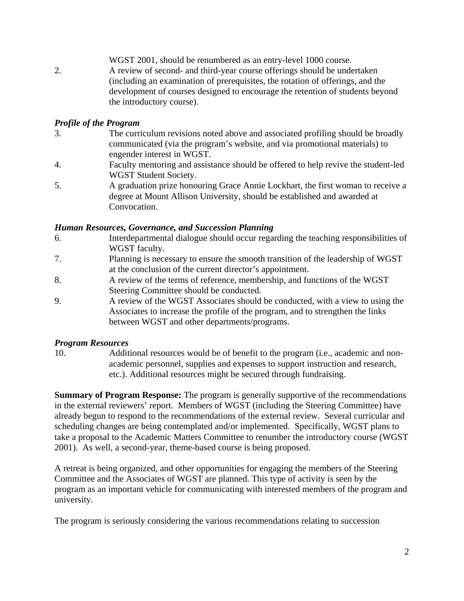WGST 2001, should be renumbered as an entry-level 1000 course. 2. A review of second- and third-year course offerings should be undertaken (including an examination of prerequisites, the rotation of offerings, and the development of courses designed to encourage the retention of students beyond the introductory course).

## *Profile of the Program*

- 3. The curriculum revisions noted above and associated profiling should be broadly communicated (via the program's website, and via promotional materials) to engender interest in WGST.
- 4. Faculty mentoring and assistance should be offered to help revive the student-led WGST Student Society.
- 5. A graduation prize honouring Grace Annie Lockhart, the first woman to receive a degree at Mount Allison University, should be established and awarded at Convocation.

#### *Human Resources, Governance, and Succession Planning*

- 6. Interdepartmental dialogue should occur regarding the teaching responsibilities of WGST faculty.
- 7. Planning is necessary to ensure the smooth transition of the leadership of WGST at the conclusion of the current director's appointment.
- 8. A review of the terms of reference, membership, and functions of the WGST Steering Committee should be conducted.
- 9. A review of the WGST Associates should be conducted, with a view to using the Associates to increase the profile of the program, and to strengthen the links between WGST and other departments/programs.

#### *Program Resources*

10. Additional resources would be of benefit to the program (i.e., academic and nonacademic personnel, supplies and expenses to support instruction and research, etc.). Additional resources might be secured through fundraising.

**Summary of Program Response:** The program is generally supportive of the recommendations in the external reviewers' report. Members of WGST (including the Steering Committee) have already begun to respond to the recommendations of the external review. Several curricular and scheduling changes are being contemplated and/or implemented. Specifically, WGST plans to take a proposal to the Academic Matters Committee to renumber the introductory course (WGST 2001). As well, a second-year, theme-based course is being proposed.

A retreat is being organized, and other opportunities for engaging the members of the Steering Committee and the Associates of WGST are planned. This type of activity is seen by the program as an important vehicle for communicating with interested members of the program and university.

The program is seriously considering the various recommendations relating to succession